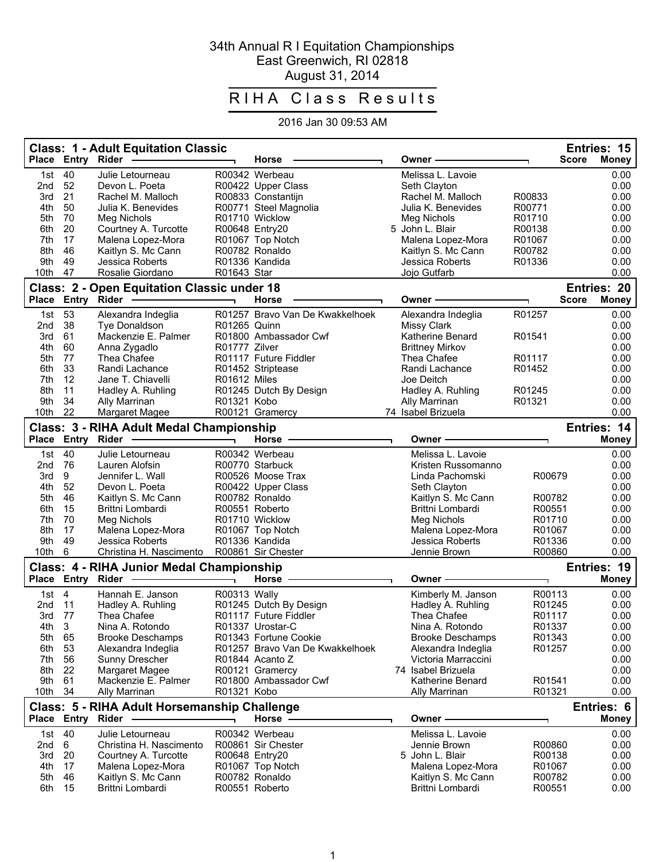## 34th Annual R I Equitation Championships East Greenwich, RI 02818 August 31, 2014

## RIHA Class Results

## 2016 Jan 30 09:53 AM

|                                                                   |                | <b>Class: 1 - Adult Equitation Classic</b><br>Place Entry Rider |                          | Horse                                    |  | Owner -                                   |                  | Entries: 15<br><b>Score</b><br><b>Money</b> |
|-------------------------------------------------------------------|----------------|-----------------------------------------------------------------|--------------------------|------------------------------------------|--|-------------------------------------------|------------------|---------------------------------------------|
| 1st                                                               | 40             | Julie Letourneau                                                |                          | R00342 Werbeau                           |  | Melissa L. Lavoie                         |                  | 0.00                                        |
| 2nd                                                               | 52             | Devon L. Poeta                                                  |                          | R00422 Upper Class                       |  | Seth Clayton                              |                  | 0.00                                        |
| 3rd                                                               | 21             | Rachel M. Malloch                                               |                          | R00833 Constantijn                       |  | Rachel M. Malloch                         | R00833           | 0.00                                        |
| 4th                                                               | 50             | Julia K. Benevides                                              |                          | R00771 Steel Magnolia                    |  | Julia K. Benevides                        | R00771           | 0.00                                        |
| 5th                                                               | 70             | Meg Nichols                                                     |                          | R01710 Wicklow                           |  | Meg Nichols                               | R01710           | 0.00                                        |
| 6th                                                               | 20             | Courtney A. Turcotte                                            |                          | R00648 Entry20                           |  | 5 John L. Blair                           | R00138           | 0.00                                        |
| 7th                                                               | 17             | Malena Lopez-Mora                                               |                          | R01067 Top Notch                         |  | Malena Lopez-Mora                         | R01067           | 0.00                                        |
| 8th                                                               | 46             | Kaitlyn S. Mc Cann                                              |                          | R00782 Ronaldo                           |  | Kaitlyn S. Mc Cann                        | R00782           | 0.00                                        |
| 9th<br>10th                                                       | 49<br>47       | Jessica Roberts<br>Rosalie Giordano                             | R01643 Star              | R01336 Kandida                           |  | Jessica Roberts<br>Jojo Gutfarb           | R01336           | 0.00<br>0.00                                |
|                                                                   |                | <b>Class: 2 - Open Equitation Classic under 18</b>              |                          |                                          |  |                                           |                  | Entries: 20                                 |
|                                                                   |                | Place Entry Rider                                               |                          | <b>Horse</b>                             |  | Owner -                                   |                  | <b>Score</b><br><b>Money</b>                |
| 1st                                                               | 53             | Alexandra Indeglia                                              |                          | R01257 Bravo Van De Kwakkelhoek          |  | Alexandra Indeglia                        | R01257           | 0.00                                        |
| 2nd                                                               | 38             | Tye Donaldson                                                   | R01265 Quinn             |                                          |  | <b>Missy Clark</b>                        |                  | 0.00                                        |
| 3rd                                                               | 61             | Mackenzie E. Palmer                                             |                          | R01800 Ambassador Cwf                    |  | Katherine Benard                          | R01541           | 0.00                                        |
| 4th                                                               | 60             | Anna Zygadlo                                                    | R01777 Zilver            |                                          |  | <b>Brittney Mirkov</b>                    |                  | 0.00                                        |
| 5th                                                               | 77             | Thea Chafee                                                     |                          | R01117 Future Fiddler                    |  | Thea Chafee                               | R01117<br>R01452 | 0.00                                        |
| 6th<br>7th                                                        | 33<br>12       | Randi Lachance<br>Jane T. Chiavelli                             | R01612 Miles             | R01452 Striptease                        |  | Randi Lachance<br>Joe Deitch              |                  | 0.00<br>0.00                                |
| 8th                                                               | 11             | Hadley A. Ruhling                                               |                          | R01245 Dutch By Design                   |  | Hadley A. Ruhling                         | R01245           | 0.00                                        |
| 9th                                                               | 34             | Ally Marrinan                                                   | R01321 Kobo              |                                          |  | Ally Marrinan                             | R01321           | 0.00                                        |
| 10th                                                              | 22             | <b>Margaret Magee</b>                                           |                          | R00121 Gramercy                          |  | 74 Isabel Brizuela                        |                  | 0.00                                        |
|                                                                   |                | Class: 3 - RIHA Adult Medal Championship                        |                          |                                          |  |                                           |                  | Entries: 14                                 |
| <b>Place</b>                                                      |                | Entry Rider -                                                   |                          | <b>Horse</b>                             |  | Owner -                                   |                  | <b>Money</b>                                |
| 1st                                                               | 40             | Julie Letourneau                                                |                          | R00342 Werbeau                           |  | Melissa L. Lavoie                         |                  | 0.00                                        |
| 2nd                                                               | 76             | Lauren Alofsin                                                  |                          | R00770 Starbuck                          |  | Kristen Russomanno                        |                  | 0.00                                        |
| 3rd                                                               | 9              | Jennifer L. Wall                                                |                          | R00526 Moose Trax                        |  | Linda Pachomski                           | R00679           | 0.00                                        |
| 4th                                                               | 52             | Devon L. Poeta                                                  |                          | R00422 Upper Class                       |  | Seth Clayton                              |                  | 0.00                                        |
| 5th                                                               | 46             | Kaitlyn S. Mc Cann                                              |                          | R00782 Ronaldo                           |  | Kaitlyn S. Mc Cann                        | R00782           | 0.00                                        |
| 6th<br>7th                                                        | 15<br>70       | Brittni Lombardi<br>Meg Nichols                                 |                          | R00551 Roberto<br>R01710 Wicklow         |  | Brittni Lombardi<br>Meg Nichols           | R00551<br>R01710 | 0.00<br>0.00                                |
| 8th                                                               | 17             | Malena Lopez-Mora                                               |                          | R01067 Top Notch                         |  | Malena Lopez-Mora                         | R01067           | 0.00                                        |
| 9th                                                               | 49             | Jessica Roberts                                                 |                          | R01336 Kandida                           |  | Jessica Roberts                           | R01336           | 0.00                                        |
| 10th                                                              | 6              | Christina H. Nascimento                                         |                          | R00861 Sir Chester                       |  | Jennie Brown                              | R00860           | 0.00                                        |
| Entries: 19<br>Class: 4 - RIHA Junior Medal Championship          |                |                                                                 |                          |                                          |  |                                           |                  |                                             |
| <b>Place</b>                                                      |                | Entry Rider                                                     | $\overline{\phantom{0}}$ | Horse                                    |  | Owner -                                   | ┑                | Money                                       |
| 1st                                                               | $\overline{4}$ | Hannah E. Janson                                                | R00313 Wally             |                                          |  | Kimberly M. Janson                        | R00113           | 0.00                                        |
| 2nd                                                               | 11             | Hadley A. Ruhling                                               |                          | R01245 Dutch By Design                   |  | Hadley A. Ruhling                         | R01245           | 0.00                                        |
| 3rd                                                               | 77             | Thea Chafee                                                     |                          | R01117 Future Fiddler                    |  | Thea Chafee                               | R01117           | 0.00                                        |
| 4th                                                               | $\mathbf{3}$   | Nina A. Rotondo                                                 |                          | R01337 Urostar-C                         |  | Nina A. Rotondo                           | R01337           | 0.00                                        |
| 5th                                                               | 65             | <b>Brooke Deschamps</b>                                         |                          | R01343 Fortune Cookie                    |  | Brooke Deschamps                          | R01343           | 0.00                                        |
| 6th                                                               | 53             | Alexandra Indeglia                                              |                          | R01257 Bravo Van De Kwakkelhoek          |  | Alexandra Indeglia                        | R01257           | 0.00                                        |
| 7th                                                               | 56<br>22       | Sunny Drescher                                                  |                          | R01844 Acanto Z                          |  | Victoria Marraccini<br>74 Isabel Brizuela |                  | 0.00<br>0.00                                |
| 8th<br>9th                                                        | 61             | Margaret Magee<br>Mackenzie E. Palmer                           |                          | R00121 Gramercy<br>R01800 Ambassador Cwf |  | Katherine Benard                          | R01541           | 0.00                                        |
| 10th                                                              | -34            | Ally Marrinan                                                   | R01321 Kobo              |                                          |  | Ally Marrinan                             | R01321           | 0.00                                        |
| Class: 5 - RIHA Adult Horsemanship Challenge<br><b>Entries: 6</b> |                |                                                                 |                          |                                          |  |                                           |                  |                                             |
|                                                                   |                | Place Entry Rider -                                             |                          | <b>Horse</b>                             |  | Owner –                                   |                  | <b>Money</b>                                |
| 1st                                                               | 40             | Julie Letourneau                                                |                          | R00342 Werbeau                           |  | Melissa L. Lavoie                         |                  | 0.00                                        |
| 2nd                                                               | 6              | Christina H. Nascimento                                         |                          | R00861 Sir Chester                       |  | Jennie Brown                              | R00860           | 0.00                                        |
| 3rd                                                               | 20             | Courtney A. Turcotte                                            |                          | R00648 Entry20                           |  | 5 John L. Blair                           | R00138           | 0.00                                        |
| 4th                                                               | 17             | Malena Lopez-Mora                                               |                          | R01067 Top Notch                         |  | Malena Lopez-Mora                         | R01067           | 0.00                                        |
| 5th                                                               | 46             | Kaitlyn S. Mc Cann                                              |                          | R00782 Ronaldo                           |  | Kaitlyn S. Mc Cann                        | R00782           | 0.00                                        |
| 6th                                                               | 15             | Brittni Lombardi                                                |                          | R00551 Roberto                           |  | Brittni Lombardi                          | R00551           | 0.00                                        |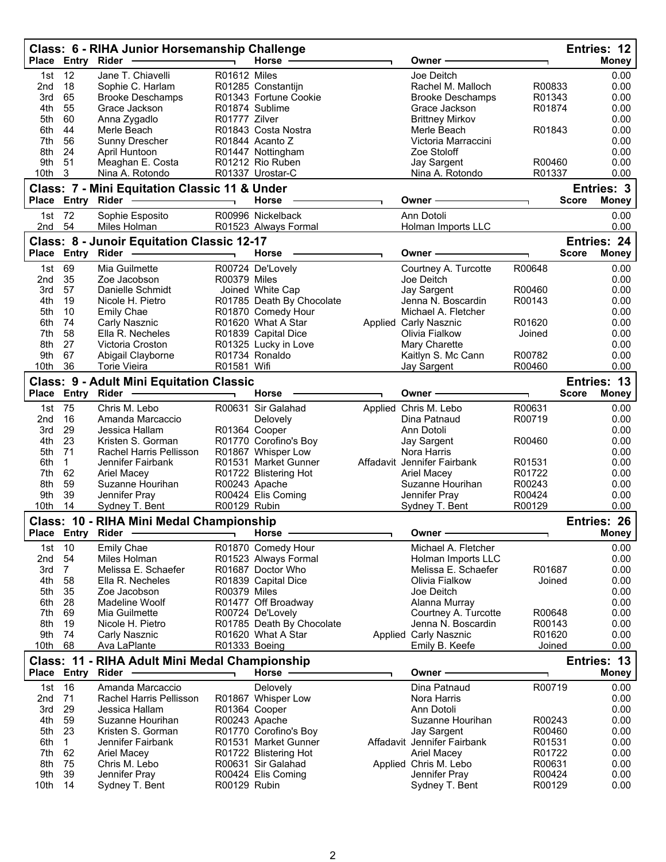|                                                               |                      | Class: 6 - RIHA Junior Horsemanship Challenge<br>Place Entry Rider | $\overline{\phantom{0}}$ | Horse $-$                                       |  | Owner ·                                           |                  |              | Entries: 12<br><b>Money</b> |
|---------------------------------------------------------------|----------------------|--------------------------------------------------------------------|--------------------------|-------------------------------------------------|--|---------------------------------------------------|------------------|--------------|-----------------------------|
| 1st                                                           | 12                   | Jane T. Chiavelli                                                  | R01612 Miles             |                                                 |  | Joe Deitch                                        |                  |              | 0.00                        |
| 2nd                                                           | 18                   | Sophie C. Harlam                                                   |                          | R01285 Constantijn                              |  | Rachel M. Malloch                                 | R00833           |              | 0.00                        |
| 3rd                                                           | 65                   | <b>Brooke Deschamps</b>                                            |                          | R01343 Fortune Cookie                           |  | <b>Brooke Deschamps</b>                           | R01343           |              | 0.00                        |
| 4th                                                           | 55                   | Grace Jackson                                                      |                          | R01874 Sublime                                  |  | Grace Jackson                                     | R01874           |              | 0.00                        |
| 5th                                                           | 60                   | Anna Zygadlo                                                       | R01777 Zilver            |                                                 |  | <b>Brittney Mirkov</b>                            |                  |              | 0.00                        |
| 6th                                                           | 44<br>56             | Merle Beach                                                        |                          | R01843 Costa Nostra                             |  | Merle Beach                                       | R01843           |              | 0.00                        |
| 7th<br>8th                                                    | 24                   | Sunny Drescher<br>April Huntoon                                    |                          | R01844 Acanto Z<br>R01447 Nottingham            |  | Victoria Marraccini<br>Zoe Stoloff                |                  |              | 0.00<br>0.00                |
| 9th                                                           | 51                   | Meaghan E. Costa                                                   |                          | R01212 Rio Ruben                                |  | Jay Sargent                                       | R00460           |              | 0.00                        |
| 10th                                                          | 3                    | Nina A. Rotondo                                                    |                          | R01337 Urostar-C                                |  | Nina A. Rotondo                                   | R01337           |              | 0.00                        |
|                                                               |                      | <b>Class: 7 - Mini Equitation Classic 11 &amp; Under</b>           |                          |                                                 |  |                                                   |                  |              | Entries: 3                  |
|                                                               | Place Entry Rider    |                                                                    |                          | <b>Horse</b>                                    |  | Owner                                             |                  | <b>Score</b> | <b>Money</b>                |
| 1st                                                           | 72                   | Sophie Esposito                                                    |                          | R00996 Nickelback                               |  | Ann Dotoli                                        |                  |              | 0.00                        |
| 2nd                                                           | 54                   | Miles Holman                                                       |                          | R01523 Always Formal                            |  | Holman Imports LLC                                |                  |              | 0.00                        |
|                                                               |                      | <b>Class: 8 - Junoir Equitation Classic 12-17</b>                  |                          |                                                 |  |                                                   |                  |              | Entries: 24                 |
|                                                               | Place Entry Rider    |                                                                    |                          | Horse                                           |  | Owner -                                           |                  | <b>Score</b> | <b>Money</b>                |
| 1st                                                           | 69                   | Mia Guilmette                                                      |                          | R00724 De'Lovely                                |  | Courtney A. Turcotte                              | R00648           |              | 0.00                        |
| 2nd                                                           | 35                   | Zoe Jacobson                                                       | R00379 Miles             |                                                 |  | Joe Deitch                                        |                  |              | 0.00                        |
| 3rd                                                           | 57                   | Danielle Schmidt                                                   |                          | Joined White Cap                                |  | Jay Sargent                                       | R00460           |              | 0.00                        |
| 4th<br>5th                                                    | 19<br>10             | Nicole H. Pietro                                                   |                          | R01785 Death By Chocolate<br>R01870 Comedy Hour |  | Jenna N. Boscardin<br>Michael A. Fletcher         | R00143           |              | 0.00<br>0.00                |
| 6th                                                           | 74                   | <b>Emily Chae</b><br>Carly Nasznic                                 |                          | R01620 What A Star                              |  | Applied Carly Nasznic                             | R01620           |              | 0.00                        |
| 7th                                                           | 58                   | Ella R. Necheles                                                   |                          | R01839 Capital Dice                             |  | Olivia Fialkow                                    | Joined           |              | 0.00                        |
| 8th                                                           | 27                   | Victoria Croston                                                   |                          | R01325 Lucky in Love                            |  | Mary Charette                                     |                  |              | 0.00                        |
| 9th                                                           | 67                   | Abigail Clayborne                                                  |                          | R01734 Ronaldo                                  |  | Kaitlyn S. Mc Cann                                | R00782           |              | 0.00                        |
| 10th                                                          | 36                   | <b>Torie Vieira</b>                                                | R01581 Wifi              |                                                 |  | Jay Sargent                                       | R00460           |              | 0.00                        |
|                                                               |                      | <b>Class: 9 - Adult Mini Equitation Classic</b>                    |                          |                                                 |  |                                                   |                  |              | Entries: 13                 |
|                                                               | Place Entry Rider    |                                                                    |                          | <b>Horse</b>                                    |  | Owner                                             |                  | <b>Score</b> | <b>Money</b>                |
| 1st                                                           | 75                   | Chris M. Lebo                                                      |                          | R00631 Sir Galahad                              |  | Applied Chris M. Lebo                             | R00631           |              | 0.00                        |
| 2nd                                                           | 16                   | Amanda Marcaccio                                                   |                          | Delovely                                        |  | Dina Patnaud                                      | R00719           |              | 0.00                        |
| 3rd                                                           | 29                   | Jessica Hallam                                                     | R01364 Cooper            |                                                 |  | Ann Dotoli                                        |                  |              | 0.00                        |
| 4th                                                           | 23                   | Kristen S. Gorman                                                  |                          | R01770 Corofino's Boy                           |  | Jay Sargent                                       | R00460           |              | 0.00                        |
| 5th                                                           | 71                   | Rachel Harris Pellisson                                            |                          | R01867 Whisper Low                              |  | Nora Harris                                       |                  |              | 0.00                        |
| 6th                                                           | $\mathbf{1}$         | Jennifer Fairbank                                                  |                          | R01531 Market Gunner                            |  | Affadavit Jennifer Fairbank                       | R01531           |              | 0.00                        |
| 7th                                                           | 62                   | <b>Ariel Macey</b>                                                 |                          | R01722 Blistering Hot                           |  | Ariel Macey                                       | R01722           |              | 0.00                        |
| 8th                                                           | 59                   | Suzanne Hourihan                                                   |                          | R00243 Apache                                   |  | Suzanne Hourihan                                  | R00243           |              | 0.00                        |
| 9th                                                           | 39                   | Jennifer Pray                                                      |                          | R00424 Elis Coming                              |  | Jennifer Pray                                     | R00424           |              | 0.00                        |
| 10th                                                          | 14                   | Sydney T. Bent                                                     | R00129 Rubin             |                                                 |  | Sydney T. Bent                                    | R00129           |              | 0.00                        |
|                                                               | Place Entry          | Class: 10 - RIHA Mini Medal Championship<br>Rider —                |                          | Horse $-\$                                      |  | Owner-                                            |                  |              | Entries: 26<br><b>Money</b> |
|                                                               |                      |                                                                    |                          |                                                 |  |                                                   |                  |              |                             |
| 1st                                                           | 10                   | <b>Emily Chae</b><br>Miles Holman                                  |                          | R01870 Comedy Hour                              |  | Michael A. Fletcher                               |                  |              | 0.00                        |
| 2nd<br>3rd                                                    | 54<br>$\overline{7}$ | Melissa E. Schaefer                                                |                          | R01523 Always Formal<br>R01687 Doctor Who       |  | Holman Imports LLC<br>Melissa E. Schaefer         | R01687           |              | 0.00<br>0.00                |
| 4th                                                           | 58                   | Ella R. Necheles                                                   |                          | R01839 Capital Dice                             |  | Olivia Fialkow                                    | Joined           |              | 0.00                        |
| 5th                                                           | 35                   | Zoe Jacobson                                                       | R00379 Miles             |                                                 |  | Joe Deitch                                        |                  |              | 0.00                        |
| 6th                                                           | 28                   | Madeline Woolf                                                     |                          | R01477 Off Broadway                             |  | Alanna Murray                                     |                  |              | 0.00                        |
| 7th                                                           | 69                   | Mia Guilmette                                                      |                          | R00724 De'Lovely                                |  | Courtney A. Turcotte                              | R00648           |              | 0.00                        |
| 8th                                                           | 19                   | Nicole H. Pietro                                                   |                          | R01785 Death By Chocolate                       |  | Jenna N. Boscardin                                | R00143           |              | 0.00                        |
| 9th                                                           | 74                   | Carly Nasznic                                                      |                          | R01620 What A Star                              |  | Applied Carly Nasznic                             | R01620           |              | 0.00                        |
| 10th                                                          | 68                   | Ava LaPlante                                                       | R01333 Boeing            |                                                 |  | Emily B. Keefe                                    | Joined           |              | 0.00                        |
| Class: 11 - RIHA Adult Mini Medal Championship<br>Entries: 13 |                      |                                                                    |                          |                                                 |  |                                                   |                  |              |                             |
| <b>Place</b>                                                  | Entry Rider          |                                                                    |                          | <b>Horse</b>                                    |  | Owner -                                           |                  |              | <b>Money</b>                |
| 1st                                                           | 16                   | Amanda Marcaccio                                                   |                          | Delovely                                        |  | Dina Patnaud                                      | R00719           |              | 0.00                        |
| 2nd                                                           | 71                   | Rachel Harris Pellisson                                            |                          | R01867 Whisper Low                              |  | Nora Harris                                       |                  |              | 0.00                        |
| 3rd                                                           | 29                   | Jessica Hallam                                                     |                          | R01364 Cooper                                   |  | Ann Dotoli                                        |                  |              | 0.00                        |
| 4th                                                           | 59                   | Suzanne Hourihan                                                   |                          | R00243 Apache                                   |  | Suzanne Hourihan                                  | R00243           |              | 0.00                        |
| 5th<br>6th                                                    | 23<br>$\mathbf{1}$   | Kristen S. Gorman<br>Jennifer Fairbank                             |                          | R01770 Corofino's Boy                           |  | Jay Sargent                                       | R00460<br>R01531 |              | 0.00<br>0.00                |
| 7th                                                           | 62                   | Ariel Macey                                                        |                          | R01531 Market Gunner<br>R01722 Blistering Hot   |  | Affadavit Jennifer Fairbank<br><b>Ariel Macey</b> | R01722           |              | 0.00                        |
| 8th                                                           | 75                   | Chris M. Lebo                                                      |                          | R00631 Sir Galahad                              |  | Applied Chris M. Lebo                             | R00631           |              | 0.00                        |
| 9th                                                           | 39                   | Jennifer Pray                                                      |                          | R00424 Elis Coming                              |  | Jennifer Pray                                     | R00424           |              | 0.00                        |
| 10th                                                          | 14                   | Sydney T. Bent                                                     | R00129 Rubin             |                                                 |  | Sydney T. Bent                                    | R00129           |              | 0.00                        |
|                                                               |                      |                                                                    |                          |                                                 |  |                                                   |                  |              |                             |